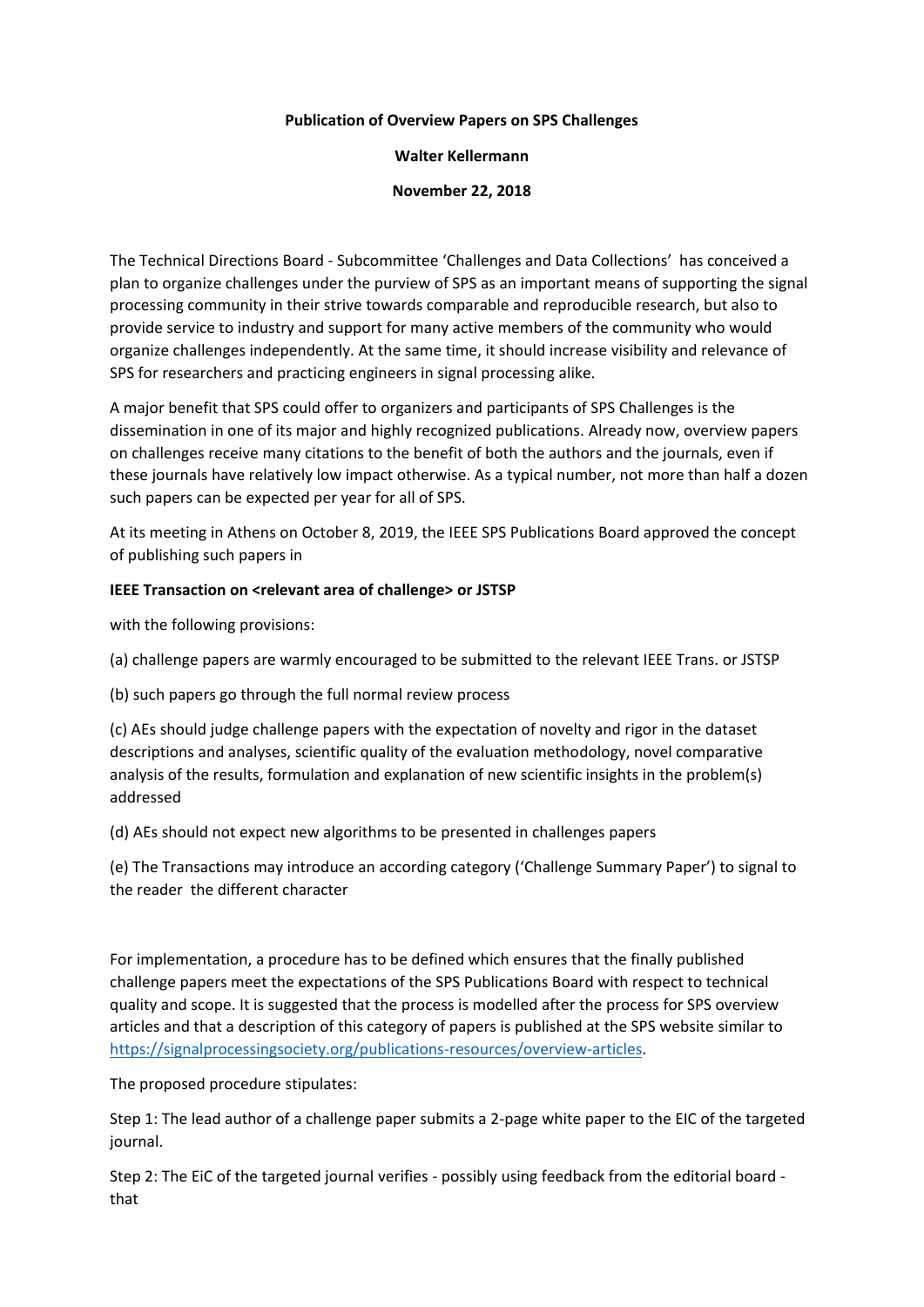## **Publication of Overview Papers on SPS Challenges**

## **Walter Kellermann**

## **November 22, 2018**

The Technical Directions Board - Subcommittee 'Challenges and Data Collections' has conceived a plan to organize challenges under the purview of SPS as an important means of supporting the signal processing community in their strive towards comparable and reproducible research, but also to provide service to industry and support for many active members of the community who would organize challenges independently. At the same time, it should increase visibility and relevance of SPS for researchers and practicing engineers in signal processing alike.

A major benefit that SPS could offer to organizers and participants of SPS Challenges is the dissemination in one of its major and highly recognized publications. Already now, overview papers on challenges receive many citations to the benefit of both the authors and the journals, even if these journals have relatively low impact otherwise. As a typical number, not more than half a dozen such papers can be expected per year for all of SPS.

At its meeting in Athens on October 8, 2019, the IEEE SPS Publications Board approved the concept of publishing such papers in

## **IEEE Transaction on <relevant area of challenge> or JSTSP**

with the following provisions:

- (a) challenge papers are warmly encouraged to be submitted to the relevant IEEE Trans. or JSTSP
- (b) such papers go through the full normal review process

(c) AEs should judge challenge papers with the expectation of novelty and rigor in the dataset descriptions and analyses, scientific quality of the evaluation methodology, novel comparative analysis of the results, formulation and explanation of new scientific insights in the problem(s) addressed

(d) AEs should not expect new algorithms to be presented in challenges papers

(e) The Transactions may introduce an according category ('Challenge Summary Paper') to signal to the reader the different character

For implementation, a procedure has to be defined which ensures that the finally published challenge papers meet the expectations of the SPS Publications Board with respect to technical quality and scope. It is suggested that the process is modelled after the process for SPS overview articles and that a description of this category of papers is published at the SPS website similar to [https://signalprocessingsociety.org/publications-resources/overview-articles.](https://signalprocessingsociety.org/publications-resources/overview-articles)

The proposed procedure stipulates:

Step 1: The lead author of a challenge paper submits a 2-page white paper to the EIC of the targeted journal.

Step 2: The EiC of the targeted journal verifies - possibly using feedback from the editorial board that